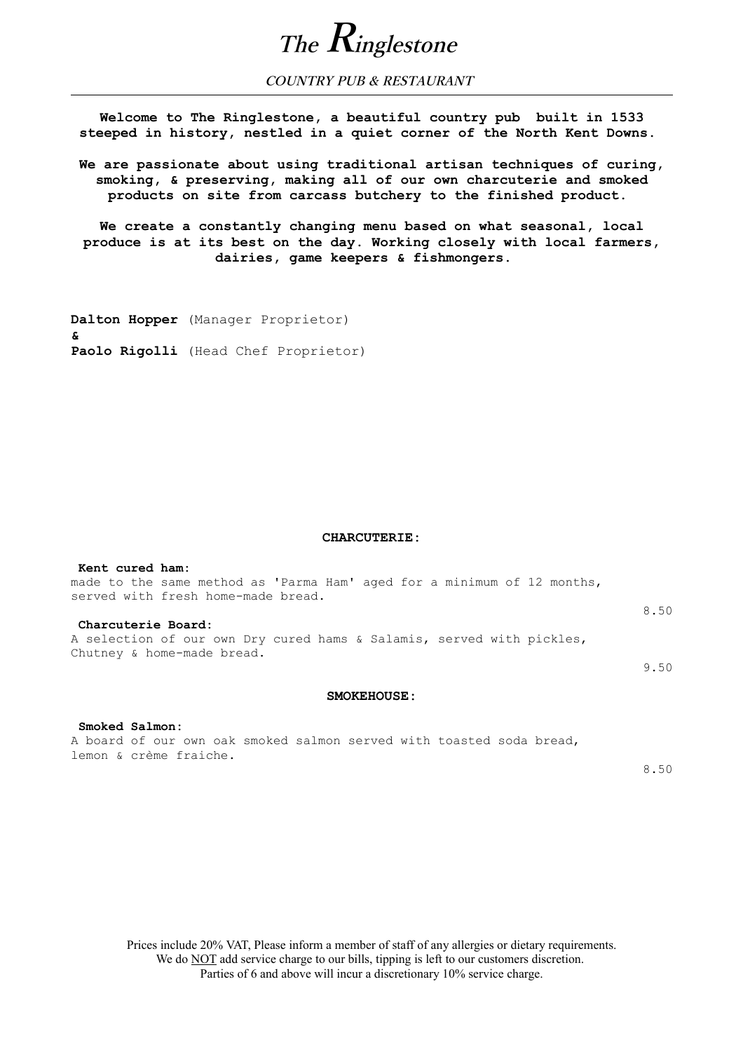

**COUNTRY PUB & RESTAURANT** 

**Welcome to The Ringlestone, a beautiful country pub built in 1533 steeped in history, nestled in a quiet corner of the North Kent Downs.** 

**We are passionate about using traditional artisan techniques of curing, smoking, & preserving, making all of our own charcuterie and smoked products on site from carcass butchery to the finished product.** 

**We create a constantly changing menu based on what seasonal, local produce is at its best on the day. Working closely with local farmers, dairies, game keepers & fishmongers.** 

**Dalton Hopper** (Manager Proprietor) **& Paolo Rigolli** (Head Chef Proprietor)

#### **CHARCUTERIE:**

| Kent cured ham:                                                         |      |
|-------------------------------------------------------------------------|------|
| made to the same method as 'Parma Ham' aged for a minimum of 12 months, |      |
| served with fresh home-made bread.                                      |      |
|                                                                         | 8.50 |
| Charcuterie Board:                                                      |      |
| A selection of our own Dry cured hams & Salamis, served with pickles,   |      |
| Chutney & home-made bread.                                              |      |
|                                                                         | 9.50 |

## **SMOKEHOUSE:**

 **Smoked Salmon:** A board of our own oak smoked salmon served with toasted soda bread, lemon & crème fraiche.

8.50

Prices include 20% VAT, Please inform a member of staff of any allergies or dietary requirements. We do **NOT** add service charge to our bills, tipping is left to our customers discretion. Parties of 6 and above will incur a discretionary 10% service charge.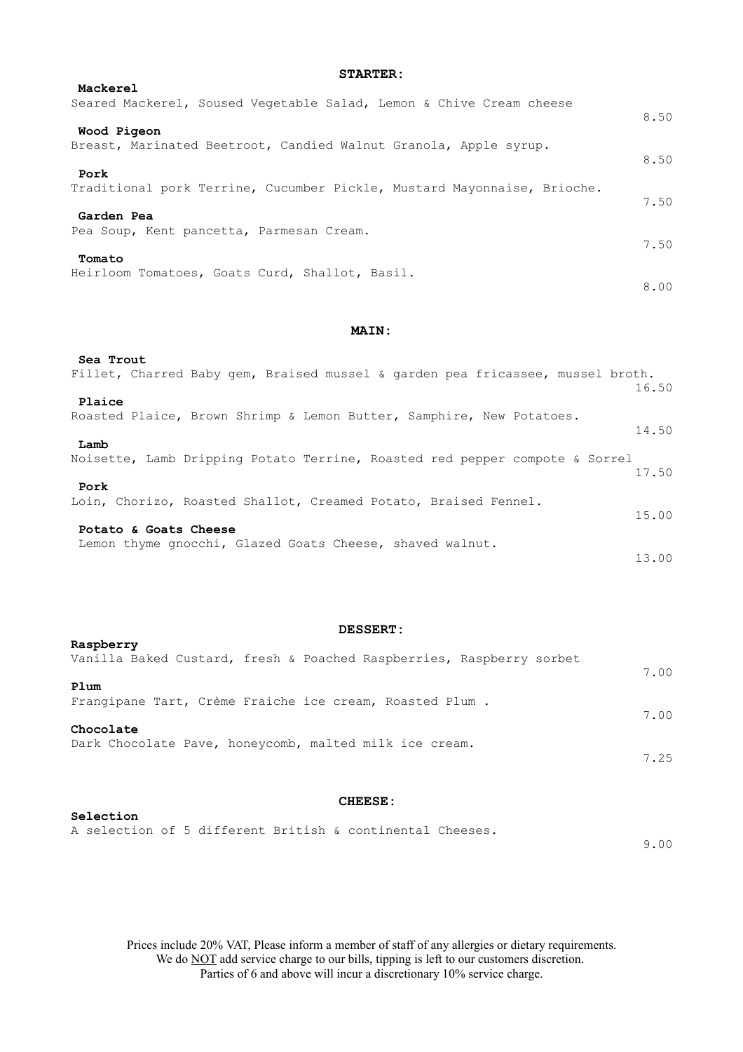| Mackerel                                                                |      |
|-------------------------------------------------------------------------|------|
| Seared Mackerel, Soused Vegetable Salad, Lemon & Chive Cream cheese     | 8.50 |
| Wood Pigeon                                                             |      |
| Breast, Marinated Beetroot, Candied Walnut Granola, Apple syrup.        |      |
| Pork                                                                    | 8.50 |
| Traditional pork Terrine, Cucumber Pickle, Mustard Mayonnaise, Brioche. |      |
|                                                                         | 7.50 |
| Garden Pea                                                              |      |
| Pea Soup, Kent pancetta, Parmesan Cream.                                |      |
|                                                                         | 7.50 |
| Tomato<br>Heirloom Tomatoes, Goats Curd, Shallot, Basil.                |      |
|                                                                         | 8.00 |
|                                                                         |      |

## **MAIN:**

## **Sea Trout**

| Fillet, Charred Baby gem, Braised mussel & garden pea fricassee, mussel broth.      | 16.50 |
|-------------------------------------------------------------------------------------|-------|
| Plaice                                                                              |       |
| Roasted Plaice, Brown Shrimp & Lemon Butter, Samphire, New Potatoes.                | 14.50 |
| Lamb<br>Noisette, Lamb Dripping Potato Terrine, Roasted red pepper compote & Sorrel |       |
|                                                                                     | 17.50 |
| Pork                                                                                |       |
| Loin, Chorizo, Roasted Shallot, Creamed Potato, Braised Fennel.                     | 15.00 |
| Potato & Goats Cheese                                                               |       |
| Lemon thyme gnocchi, Glazed Goats Cheese, shaved walnut.                            |       |
|                                                                                     | 13.00 |

# **DESSERT:**

# **CHEESE:**

# **Selection**  A selection of 5 different British & continental Cheeses.

9.00

Prices include 20% VAT, Please inform a member of staff of any allergies or dietary requirements. We do **NOT** add service charge to our bills, tipping is left to our customers discretion. Parties of 6 and above will incur a discretionary 10% service charge.

# **STARTER:**